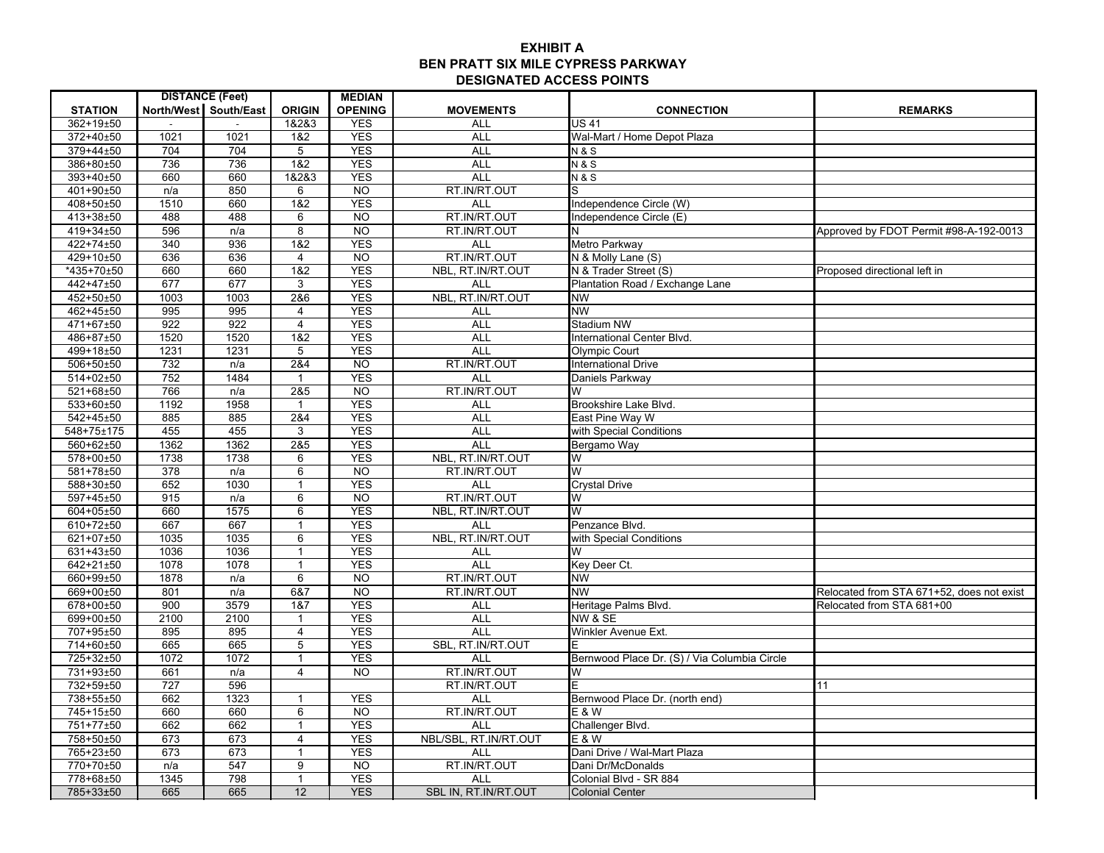## **EXHIBIT ABEN PRATT SIX MILE CYPRESS PARKWAY DESIGNATED ACCESS POINTS**

| <b>DISTANCE (Feet)</b><br><b>MEDIAN</b><br><b>STATION</b><br>North/West South/East<br><b>ORIGIN</b><br><b>OPENING</b><br><b>MOVEMENTS</b><br><b>CONNECTION</b><br><b>REMARKS</b><br>362+19±50<br>1&2&3<br><b>YES</b><br>$\overline{US}$ 41<br>ALL<br>1021<br>372+40±50<br>1021<br><b>YES</b><br><b>ALL</b><br>1&2<br>Wal-Mart / Home Depot Plaza<br>704<br><b>YES</b><br>379+44±50<br>704<br><b>ALL</b><br>5<br><b>N&amp;S</b><br>736<br>1&2<br><b>YES</b><br>386+80±50<br>736<br><b>ALL</b><br><b>N&amp;S</b><br>393+40±50<br>660<br>660<br>1&2&3<br><b>YES</b><br><b>ALL</b><br><b>N&amp;S</b><br>RT.IN/RT.OUT<br>401+90±50<br>850<br>$\overline{NO}$<br>n/a<br>6<br>S.<br>660<br>1&2<br><b>YES</b><br>408+50±50<br>1510<br><b>ALL</b><br>Independence Circle (W)<br>RT.IN/RT.OUT<br>413+38±50<br>488<br>488<br><b>NO</b><br>Independence Circle (E)<br>6<br>419+34±50<br>596<br>8<br><b>NO</b><br>RT.IN/RT.OUT<br>n/a<br>Approved by FDOT Permit #98-A-192-0013<br>936<br>1&2<br><b>YES</b><br>422+74±50<br>340<br><b>ALL</b><br>Metro Parkway<br>RT.IN/RT.OUT<br>429+10±50<br>636<br>636<br><b>NO</b><br>N & Molly Lane (S)<br>4<br>$*435+70\pm50$<br>660<br>1&2<br><b>YES</b><br>NBL, RT.IN/RT.OUT<br>660<br>N & Trader Street (S)<br>Proposed directional left in<br>442+47±50<br>677<br>677<br><b>YES</b><br>3<br><b>ALL</b><br>Plantation Road / Exchange Lane |  |
|------------------------------------------------------------------------------------------------------------------------------------------------------------------------------------------------------------------------------------------------------------------------------------------------------------------------------------------------------------------------------------------------------------------------------------------------------------------------------------------------------------------------------------------------------------------------------------------------------------------------------------------------------------------------------------------------------------------------------------------------------------------------------------------------------------------------------------------------------------------------------------------------------------------------------------------------------------------------------------------------------------------------------------------------------------------------------------------------------------------------------------------------------------------------------------------------------------------------------------------------------------------------------------------------------------------------------------------------------------------------|--|
|                                                                                                                                                                                                                                                                                                                                                                                                                                                                                                                                                                                                                                                                                                                                                                                                                                                                                                                                                                                                                                                                                                                                                                                                                                                                                                                                                                        |  |
|                                                                                                                                                                                                                                                                                                                                                                                                                                                                                                                                                                                                                                                                                                                                                                                                                                                                                                                                                                                                                                                                                                                                                                                                                                                                                                                                                                        |  |
|                                                                                                                                                                                                                                                                                                                                                                                                                                                                                                                                                                                                                                                                                                                                                                                                                                                                                                                                                                                                                                                                                                                                                                                                                                                                                                                                                                        |  |
|                                                                                                                                                                                                                                                                                                                                                                                                                                                                                                                                                                                                                                                                                                                                                                                                                                                                                                                                                                                                                                                                                                                                                                                                                                                                                                                                                                        |  |
|                                                                                                                                                                                                                                                                                                                                                                                                                                                                                                                                                                                                                                                                                                                                                                                                                                                                                                                                                                                                                                                                                                                                                                                                                                                                                                                                                                        |  |
|                                                                                                                                                                                                                                                                                                                                                                                                                                                                                                                                                                                                                                                                                                                                                                                                                                                                                                                                                                                                                                                                                                                                                                                                                                                                                                                                                                        |  |
|                                                                                                                                                                                                                                                                                                                                                                                                                                                                                                                                                                                                                                                                                                                                                                                                                                                                                                                                                                                                                                                                                                                                                                                                                                                                                                                                                                        |  |
|                                                                                                                                                                                                                                                                                                                                                                                                                                                                                                                                                                                                                                                                                                                                                                                                                                                                                                                                                                                                                                                                                                                                                                                                                                                                                                                                                                        |  |
|                                                                                                                                                                                                                                                                                                                                                                                                                                                                                                                                                                                                                                                                                                                                                                                                                                                                                                                                                                                                                                                                                                                                                                                                                                                                                                                                                                        |  |
|                                                                                                                                                                                                                                                                                                                                                                                                                                                                                                                                                                                                                                                                                                                                                                                                                                                                                                                                                                                                                                                                                                                                                                                                                                                                                                                                                                        |  |
|                                                                                                                                                                                                                                                                                                                                                                                                                                                                                                                                                                                                                                                                                                                                                                                                                                                                                                                                                                                                                                                                                                                                                                                                                                                                                                                                                                        |  |
|                                                                                                                                                                                                                                                                                                                                                                                                                                                                                                                                                                                                                                                                                                                                                                                                                                                                                                                                                                                                                                                                                                                                                                                                                                                                                                                                                                        |  |
|                                                                                                                                                                                                                                                                                                                                                                                                                                                                                                                                                                                                                                                                                                                                                                                                                                                                                                                                                                                                                                                                                                                                                                                                                                                                                                                                                                        |  |
|                                                                                                                                                                                                                                                                                                                                                                                                                                                                                                                                                                                                                                                                                                                                                                                                                                                                                                                                                                                                                                                                                                                                                                                                                                                                                                                                                                        |  |
|                                                                                                                                                                                                                                                                                                                                                                                                                                                                                                                                                                                                                                                                                                                                                                                                                                                                                                                                                                                                                                                                                                                                                                                                                                                                                                                                                                        |  |
| NBL, RT.IN/RT.OUT<br>452+50±50<br>1003<br><b>YES</b><br>1003<br>2&6<br><b>NW</b>                                                                                                                                                                                                                                                                                                                                                                                                                                                                                                                                                                                                                                                                                                                                                                                                                                                                                                                                                                                                                                                                                                                                                                                                                                                                                       |  |
| 995<br>995<br><b>YES</b><br>462+45±50<br>$\overline{4}$<br><b>NW</b><br><b>ALL</b>                                                                                                                                                                                                                                                                                                                                                                                                                                                                                                                                                                                                                                                                                                                                                                                                                                                                                                                                                                                                                                                                                                                                                                                                                                                                                     |  |
| 471+67±50<br>922<br>922<br><b>YES</b><br><b>ALL</b><br><b>Stadium NW</b><br>4                                                                                                                                                                                                                                                                                                                                                                                                                                                                                                                                                                                                                                                                                                                                                                                                                                                                                                                                                                                                                                                                                                                                                                                                                                                                                          |  |
| 1&2<br><b>YES</b><br>486+87±50<br>1520<br>1520<br><b>ALL</b><br>International Center Blvd.                                                                                                                                                                                                                                                                                                                                                                                                                                                                                                                                                                                                                                                                                                                                                                                                                                                                                                                                                                                                                                                                                                                                                                                                                                                                             |  |
| <b>YES</b><br>499+18±50<br>1231<br>1231<br>5<br><b>ALL</b><br><b>Olympic Court</b>                                                                                                                                                                                                                                                                                                                                                                                                                                                                                                                                                                                                                                                                                                                                                                                                                                                                                                                                                                                                                                                                                                                                                                                                                                                                                     |  |
| RT.IN/RT.OUT<br>506+50±50<br>2&4<br><b>NO</b><br>732<br>n/a<br><b>International Drive</b>                                                                                                                                                                                                                                                                                                                                                                                                                                                                                                                                                                                                                                                                                                                                                                                                                                                                                                                                                                                                                                                                                                                                                                                                                                                                              |  |
| 514+02±50<br>752<br>1484<br><b>YES</b><br><b>ALL</b><br>Daniels Parkway<br>$\mathbf{1}$                                                                                                                                                                                                                                                                                                                                                                                                                                                                                                                                                                                                                                                                                                                                                                                                                                                                                                                                                                                                                                                                                                                                                                                                                                                                                |  |
| RT.IN/RT.OUT<br>521+68±50<br>766<br>2&5<br><b>NO</b><br>n/a<br>W                                                                                                                                                                                                                                                                                                                                                                                                                                                                                                                                                                                                                                                                                                                                                                                                                                                                                                                                                                                                                                                                                                                                                                                                                                                                                                       |  |
| 1958<br><b>YES</b><br>533+60±50<br>1192<br><b>ALL</b><br>$\mathbf{1}$<br>Brookshire Lake Blvd.                                                                                                                                                                                                                                                                                                                                                                                                                                                                                                                                                                                                                                                                                                                                                                                                                                                                                                                                                                                                                                                                                                                                                                                                                                                                         |  |
| 542+45±50<br>885<br>2&4<br><b>YES</b><br><b>ALL</b><br>885<br>East Pine Way W                                                                                                                                                                                                                                                                                                                                                                                                                                                                                                                                                                                                                                                                                                                                                                                                                                                                                                                                                                                                                                                                                                                                                                                                                                                                                          |  |
| 455<br><b>YES</b><br>548+75±175<br>455<br><b>ALL</b><br>3<br>with Special Conditions                                                                                                                                                                                                                                                                                                                                                                                                                                                                                                                                                                                                                                                                                                                                                                                                                                                                                                                                                                                                                                                                                                                                                                                                                                                                                   |  |
| <b>YES</b><br>560+62±50<br>1362<br>1362<br>2&5<br>ALL<br>Bergamo Way                                                                                                                                                                                                                                                                                                                                                                                                                                                                                                                                                                                                                                                                                                                                                                                                                                                                                                                                                                                                                                                                                                                                                                                                                                                                                                   |  |
| <b>YES</b><br>NBL, RT.IN/RT.OUT<br>578+00±50<br>1738<br>1738<br>6<br>W                                                                                                                                                                                                                                                                                                                                                                                                                                                                                                                                                                                                                                                                                                                                                                                                                                                                                                                                                                                                                                                                                                                                                                                                                                                                                                 |  |
| 581+78±50<br>378<br>6<br><b>NO</b><br>RT.IN/RT.OUT<br>W<br>n/a                                                                                                                                                                                                                                                                                                                                                                                                                                                                                                                                                                                                                                                                                                                                                                                                                                                                                                                                                                                                                                                                                                                                                                                                                                                                                                         |  |
| <b>YES</b><br>588+30±50<br>652<br>1030<br>$\mathbf{1}$<br><b>Crystal Drive</b><br><b>ALL</b>                                                                                                                                                                                                                                                                                                                                                                                                                                                                                                                                                                                                                                                                                                                                                                                                                                                                                                                                                                                                                                                                                                                                                                                                                                                                           |  |
| 597+45±50<br>$6\overline{6}$<br>N <sub>O</sub><br>RT.IN/RT.OUT<br>915<br>n/a<br>W                                                                                                                                                                                                                                                                                                                                                                                                                                                                                                                                                                                                                                                                                                                                                                                                                                                                                                                                                                                                                                                                                                                                                                                                                                                                                      |  |
| 604+05±50<br>1575<br>6<br><b>YES</b><br>NBL, RT.IN/RT.OUT<br>660<br>W                                                                                                                                                                                                                                                                                                                                                                                                                                                                                                                                                                                                                                                                                                                                                                                                                                                                                                                                                                                                                                                                                                                                                                                                                                                                                                  |  |
| <b>YES</b><br>610+72±50<br>667<br>667<br>Penzance Blvd.<br><b>ALL</b><br>$\mathbf{1}$                                                                                                                                                                                                                                                                                                                                                                                                                                                                                                                                                                                                                                                                                                                                                                                                                                                                                                                                                                                                                                                                                                                                                                                                                                                                                  |  |
| 1035<br>$\overline{6}$<br><b>YES</b><br>NBL, RT.IN/RT.OUT<br>621+07±50<br>1035<br>with Special Conditions                                                                                                                                                                                                                                                                                                                                                                                                                                                                                                                                                                                                                                                                                                                                                                                                                                                                                                                                                                                                                                                                                                                                                                                                                                                              |  |
| 631+43±50<br>1036<br>1036<br><b>YES</b><br>$\mathbf{1}$<br><b>ALL</b><br>w                                                                                                                                                                                                                                                                                                                                                                                                                                                                                                                                                                                                                                                                                                                                                                                                                                                                                                                                                                                                                                                                                                                                                                                                                                                                                             |  |
| 1078<br>1078<br><b>YES</b><br><b>ALL</b><br>Key Deer Ct.<br>642+21±50<br>$\mathbf{1}$                                                                                                                                                                                                                                                                                                                                                                                                                                                                                                                                                                                                                                                                                                                                                                                                                                                                                                                                                                                                                                                                                                                                                                                                                                                                                  |  |
| $6\overline{6}$<br>N <sub>O</sub><br>RT.IN/RT.OUT<br><b>NW</b><br>660+99±50<br>1878<br>n/a                                                                                                                                                                                                                                                                                                                                                                                                                                                                                                                                                                                                                                                                                                                                                                                                                                                                                                                                                                                                                                                                                                                                                                                                                                                                             |  |
| 669+00±50<br>6&7<br>$\overline{NO}$<br>RT.IN/RT.OUT<br>801<br><b>NW</b><br>Relocated from STA 671+52, does not exist<br>n/a                                                                                                                                                                                                                                                                                                                                                                                                                                                                                                                                                                                                                                                                                                                                                                                                                                                                                                                                                                                                                                                                                                                                                                                                                                            |  |
| 678+00±50<br>900<br>3579<br>1&7<br><b>YES</b><br>Heritage Palms Blvd<br><b>ALL</b><br>Relocated from STA 681+00                                                                                                                                                                                                                                                                                                                                                                                                                                                                                                                                                                                                                                                                                                                                                                                                                                                                                                                                                                                                                                                                                                                                                                                                                                                        |  |
| <b>YES</b><br>2100<br>NW & SE<br>699+00±50<br>2100<br>ALL<br>$\mathbf{1}$                                                                                                                                                                                                                                                                                                                                                                                                                                                                                                                                                                                                                                                                                                                                                                                                                                                                                                                                                                                                                                                                                                                                                                                                                                                                                              |  |
| 707+95±50<br><b>YES</b><br>895<br>895<br>$\overline{4}$<br><b>ALL</b><br>Winkler Avenue Ext.                                                                                                                                                                                                                                                                                                                                                                                                                                                                                                                                                                                                                                                                                                                                                                                                                                                                                                                                                                                                                                                                                                                                                                                                                                                                           |  |
| 665<br>$\overline{5}$<br><b>YES</b><br>SBL, RT.IN/RT.OUT<br>714+60±50<br>665                                                                                                                                                                                                                                                                                                                                                                                                                                                                                                                                                                                                                                                                                                                                                                                                                                                                                                                                                                                                                                                                                                                                                                                                                                                                                           |  |
| 725+32±50<br><b>YES</b><br>1072<br>1072<br><b>ALL</b><br>Bernwood Place Dr. (S) / Via Columbia Circle<br>$\mathbf{1}$                                                                                                                                                                                                                                                                                                                                                                                                                                                                                                                                                                                                                                                                                                                                                                                                                                                                                                                                                                                                                                                                                                                                                                                                                                                  |  |
| 731+93±50<br>661<br><b>NO</b><br>RT.IN/RT.OUT<br>n/a<br>$\overline{4}$<br>W                                                                                                                                                                                                                                                                                                                                                                                                                                                                                                                                                                                                                                                                                                                                                                                                                                                                                                                                                                                                                                                                                                                                                                                                                                                                                            |  |
| 732+59±50<br>596<br>727<br>RT.IN/RT.OUT<br>11                                                                                                                                                                                                                                                                                                                                                                                                                                                                                                                                                                                                                                                                                                                                                                                                                                                                                                                                                                                                                                                                                                                                                                                                                                                                                                                          |  |
| 738+55±50<br>662<br>1323<br><b>YES</b><br>Bernwood Place Dr. (north end)<br><b>ALL</b><br>$\mathbf{1}$                                                                                                                                                                                                                                                                                                                                                                                                                                                                                                                                                                                                                                                                                                                                                                                                                                                                                                                                                                                                                                                                                                                                                                                                                                                                 |  |
| RT.IN/RT.OUT<br>745+15±50<br>660<br>660<br>6<br><b>NO</b><br>E & W                                                                                                                                                                                                                                                                                                                                                                                                                                                                                                                                                                                                                                                                                                                                                                                                                                                                                                                                                                                                                                                                                                                                                                                                                                                                                                     |  |
| 751+77±50<br><b>YES</b><br>662<br>662<br>$\mathbf{1}$<br>ALL<br>Challenger Blvd.                                                                                                                                                                                                                                                                                                                                                                                                                                                                                                                                                                                                                                                                                                                                                                                                                                                                                                                                                                                                                                                                                                                                                                                                                                                                                       |  |
| NBL/SBL, RT.IN/RT.OUT<br>758+50±50<br>673<br>$\overline{4}$<br><b>YES</b><br>673<br>E & W                                                                                                                                                                                                                                                                                                                                                                                                                                                                                                                                                                                                                                                                                                                                                                                                                                                                                                                                                                                                                                                                                                                                                                                                                                                                              |  |
| 765+23±50<br>673<br>673<br><b>YES</b><br>Dani Drive / Wal-Mart Plaza<br>$\mathbf{1}$<br>ALL                                                                                                                                                                                                                                                                                                                                                                                                                                                                                                                                                                                                                                                                                                                                                                                                                                                                                                                                                                                                                                                                                                                                                                                                                                                                            |  |
| RT.IN/RT.OUT<br>770+70±50<br>547<br>9<br><b>NO</b><br>Dani Dr/McDonalds<br>n/a                                                                                                                                                                                                                                                                                                                                                                                                                                                                                                                                                                                                                                                                                                                                                                                                                                                                                                                                                                                                                                                                                                                                                                                                                                                                                         |  |
| 1345<br>798<br><b>YES</b><br>778+68±50<br>$\mathbf{1}$<br><b>ALL</b><br>Colonial Blvd - SR 884                                                                                                                                                                                                                                                                                                                                                                                                                                                                                                                                                                                                                                                                                                                                                                                                                                                                                                                                                                                                                                                                                                                                                                                                                                                                         |  |
| 12<br>785+33±50<br>665<br>665<br><b>YES</b><br>SBL IN, RT.IN/RT.OUT<br><b>Colonial Center</b>                                                                                                                                                                                                                                                                                                                                                                                                                                                                                                                                                                                                                                                                                                                                                                                                                                                                                                                                                                                                                                                                                                                                                                                                                                                                          |  |